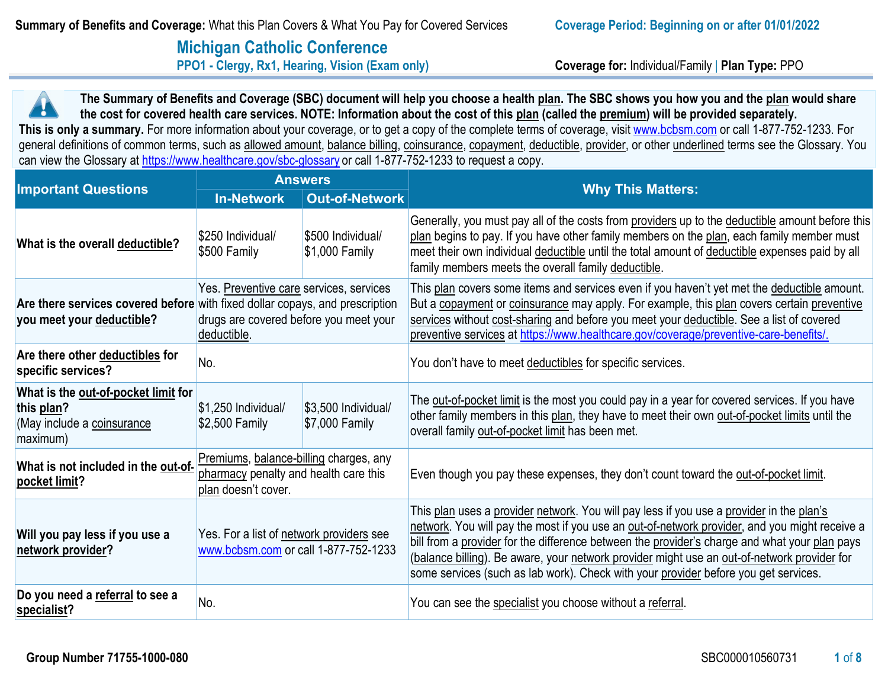# **Michigan Catholic Conference PPO1 - Clergy, Rx1, Hearing, Vision (Exam only) Coverage for:** Individual/Family | **Plan Type:** PPO

**This is only a summary.** For more information about your coverage, or to get a copy of the complete terms of coverage, visit [www.bcbsm.com](http://www.bcbsm.com/) or call 1-877-752-1233. For **The Summary of Benefits and Coverage (SBC) document will help you choose a health plan. The SBC shows you how you and the plan would share the cost for covered health care services. NOTE: Information about the cost of this plan (called the premium) will be provided separately.**  general definitions of common terms, such as allowed amount, balance billing, coinsurance, copayment, deductible, provider, or other underlined terms see the Glossary. You can view the Glossary a[t https://www.healthcare.gov/sbc-glossary](https://www.healthcare.gov/sbc-glossary) or call 1-877-752-1233 to request a copy.

| <b>Important Questions</b>                                                                  | <b>Answers</b>                                                                                                                                                                   |                                        | <b>Why This Matters:</b>                                                                                                                                                                                                                                                                                                                                                                                                                                                         |  |
|---------------------------------------------------------------------------------------------|----------------------------------------------------------------------------------------------------------------------------------------------------------------------------------|----------------------------------------|----------------------------------------------------------------------------------------------------------------------------------------------------------------------------------------------------------------------------------------------------------------------------------------------------------------------------------------------------------------------------------------------------------------------------------------------------------------------------------|--|
|                                                                                             | <b>In-Network</b>                                                                                                                                                                | <b>Out-of-Network</b>                  |                                                                                                                                                                                                                                                                                                                                                                                                                                                                                  |  |
| What is the overall deductible?                                                             | \$250 Individual/<br>\$500 Individual/<br>\$500 Family<br>$$1,000$ Family                                                                                                        |                                        | Generally, you must pay all of the costs from providers up to the deductible amount before this<br>plan begins to pay. If you have other family members on the plan, each family member must<br>meet their own individual deductible until the total amount of deductible expenses paid by all<br>family members meets the overall family deductible.                                                                                                                            |  |
| you meet your deductible?                                                                   | Yes. Preventive care services, services<br>Are there services covered before with fixed dollar copays, and prescription<br>drugs are covered before you meet your<br>deductible. |                                        | This plan covers some items and services even if you haven't yet met the deductible amount.<br>But a copayment or coinsurance may apply. For example, this plan covers certain preventive<br>services without cost-sharing and before you meet your deductible. See a list of covered<br>preventive services at https://www.healthcare.gov/coverage/preventive-care-benefits/.                                                                                                   |  |
| Are there other deductibles for<br>specific services?                                       | No.                                                                                                                                                                              |                                        | You don't have to meet deductibles for specific services.                                                                                                                                                                                                                                                                                                                                                                                                                        |  |
| What is the out-of-pocket limit for<br>this plan?<br>(May include a coinsurance<br>maximum) | \$1,250 Individual/<br>$$2,500$ Family                                                                                                                                           | \$3,500 Individual/<br>$$7,000$ Family | The out-of-pocket limit is the most you could pay in a year for covered services. If you have<br>other family members in this plan, they have to meet their own out-of-pocket limits until the<br>overall family out-of-pocket limit has been met.                                                                                                                                                                                                                               |  |
| What is not included in the out-of-<br>pocket limit?                                        | Premiums, balance-billing charges, any<br>pharmacy penalty and health care this<br>plan doesn't cover.                                                                           |                                        | Even though you pay these expenses, they don't count toward the out-of-pocket limit.                                                                                                                                                                                                                                                                                                                                                                                             |  |
| Will you pay less if you use a<br>network provider?                                         | Yes. For a list of network providers see<br>www.bcbsm.com or call 1-877-752-1233                                                                                                 |                                        | This plan uses a provider network. You will pay less if you use a provider in the plan's<br>network. You will pay the most if you use an out-of-network provider, and you might receive a<br>bill from a provider for the difference between the provider's charge and what your plan pays<br>(balance billing). Be aware, your network provider might use an out-of-network provider for<br>some services (such as lab work). Check with your provider before you get services. |  |
| Do you need a referral to see a<br>specialist?                                              | No.                                                                                                                                                                              |                                        | You can see the specialist you choose without a referral.                                                                                                                                                                                                                                                                                                                                                                                                                        |  |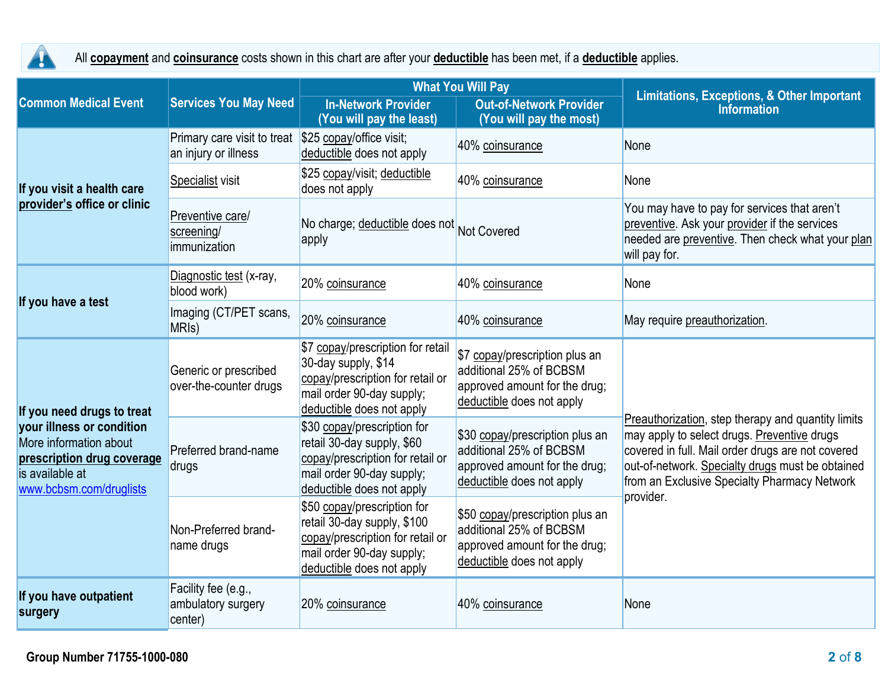

All **copayment** and **coinsurance** costs shown in this chart are after your **deductible** has been met, if a **deductible** applies.

|                                                                                                                                                               |                                                      |                                                                                                                                                          | <b>What You Will Pay</b>                                                                                                 | <b>Limitations, Exceptions, &amp; Other Important</b>                                                                                                                                                                                                                   |  |
|---------------------------------------------------------------------------------------------------------------------------------------------------------------|------------------------------------------------------|----------------------------------------------------------------------------------------------------------------------------------------------------------|--------------------------------------------------------------------------------------------------------------------------|-------------------------------------------------------------------------------------------------------------------------------------------------------------------------------------------------------------------------------------------------------------------------|--|
| <b>Common Medical Event</b>                                                                                                                                   | <b>Services You May Need</b>                         | <b>In-Network Provider</b><br>(You will pay the least)                                                                                                   | <b>Out-of-Network Provider</b><br>(You will pay the most)                                                                | <b>Information</b>                                                                                                                                                                                                                                                      |  |
|                                                                                                                                                               | Primary care visit to treat<br>an injury or illness  | \$25 copay/office visit;<br>deductible does not apply                                                                                                    | 40% coinsurance                                                                                                          | None                                                                                                                                                                                                                                                                    |  |
| If you visit a health care                                                                                                                                    | Specialist visit                                     | \$25 copay/visit; deductible<br>does not apply                                                                                                           | 40% coinsurance                                                                                                          | None                                                                                                                                                                                                                                                                    |  |
| provider's office or clinic                                                                                                                                   | Preventive care/<br>screening/<br>immunization       | No charge; deductible does not Not Covered<br>apply                                                                                                      |                                                                                                                          | You may have to pay for services that aren't<br>preventive. Ask your provider if the services<br>needed are preventive. Then check what your plan<br>will pay for.                                                                                                      |  |
| If you have a test                                                                                                                                            | Diagnostic test (x-ray,<br>blood work)               | 20% coinsurance                                                                                                                                          | 40% coinsurance                                                                                                          | None                                                                                                                                                                                                                                                                    |  |
|                                                                                                                                                               | Imaging (CT/PET scans,<br>MRI <sub>s</sub> )         | 20% coinsurance                                                                                                                                          | 40% coinsurance                                                                                                          | May require preauthorization.                                                                                                                                                                                                                                           |  |
| If you need drugs to treat<br>your illness or condition<br>More information about<br>prescription drug coverage<br>is available at<br>www.bcbsm.com/druglists | Generic or prescribed<br>over-the-counter drugs      | \$7 copay/prescription for retail<br>30-day supply, \$14<br>copay/prescription for retail or<br>mail order 90-day supply;<br>deductible does not apply   | \$7 copay/prescription plus an<br>additional 25% of BCBSM<br>approved amount for the drug;<br>deductible does not apply  | Preauthorization, step therapy and quantity limits<br>may apply to select drugs. Preventive drugs<br>covered in full. Mail order drugs are not covered<br>out-of-network. Specialty drugs must be obtained<br>from an Exclusive Specialty Pharmacy Network<br>provider. |  |
|                                                                                                                                                               | Preferred brand-name<br>drugs                        | \$30 copay/prescription for<br>retail 30-day supply, \$60<br>copay/prescription for retail or<br>mail order 90-day supply;<br>deductible does not apply  | \$30 copay/prescription plus an<br>additional 25% of BCBSM<br>approved amount for the drug;<br>deductible does not apply |                                                                                                                                                                                                                                                                         |  |
|                                                                                                                                                               | Non-Preferred brand-<br>name drugs                   | \$50 copay/prescription for<br>retail 30-day supply, \$100<br>copay/prescription for retail or<br>mail order 90-day supply;<br>deductible does not apply | \$50 copay/prescription plus an<br>additional 25% of BCBSM<br>approved amount for the drug;<br>deductible does not apply |                                                                                                                                                                                                                                                                         |  |
| If you have outpatient<br>surgery                                                                                                                             | Facility fee (e.g.,<br>ambulatory surgery<br>center) | 20% coinsurance                                                                                                                                          | 40% coinsurance                                                                                                          | None                                                                                                                                                                                                                                                                    |  |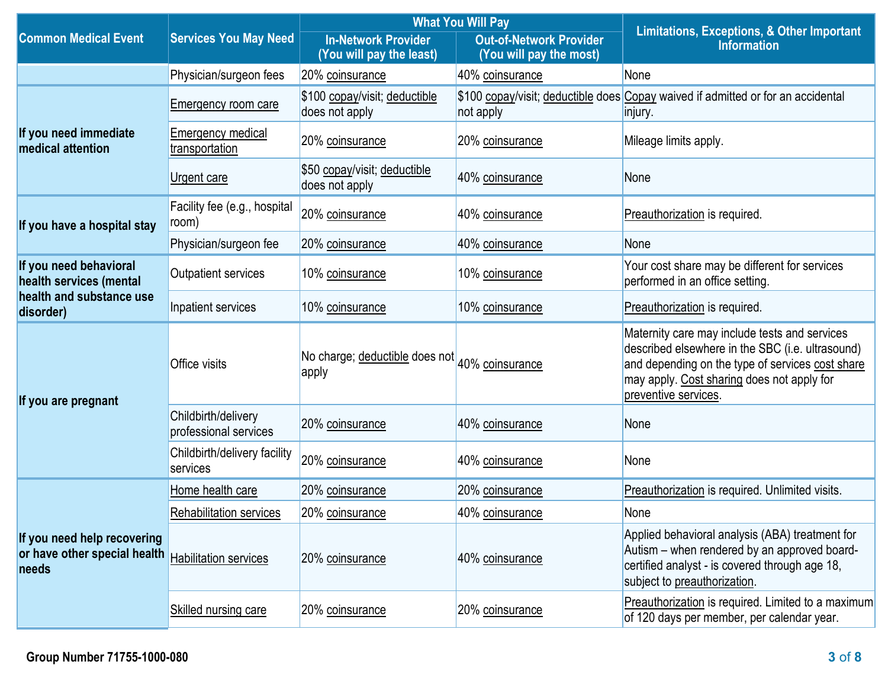|                                                                      |                                              |                                                         | <b>What You Will Pay</b>                                  | <b>Limitations, Exceptions, &amp; Other Important</b><br><b>Information</b>                                                                                                                                                 |  |
|----------------------------------------------------------------------|----------------------------------------------|---------------------------------------------------------|-----------------------------------------------------------|-----------------------------------------------------------------------------------------------------------------------------------------------------------------------------------------------------------------------------|--|
| <b>Common Medical Event</b>                                          | <b>Services You May Need</b>                 | <b>In-Network Provider</b><br>(You will pay the least)  | <b>Out-of-Network Provider</b><br>(You will pay the most) |                                                                                                                                                                                                                             |  |
|                                                                      | Physician/surgeon fees                       | 20% coinsurance                                         | 40% coinsurance                                           | None                                                                                                                                                                                                                        |  |
|                                                                      | <b>Emergency room care</b>                   | \$100 copay/visit; deductible<br>does not apply         | not apply                                                 | \$100 copay/visit; deductible does Copay waived if admitted or for an accidental<br>injury.                                                                                                                                 |  |
| If you need immediate<br>medical attention                           | <b>Emergency medical</b><br>transportation   | 20% coinsurance                                         | 20% coinsurance                                           | Mileage limits apply.                                                                                                                                                                                                       |  |
|                                                                      | Urgent care                                  | \$50 copay/visit; deductible<br>does not apply          | 40% coinsurance                                           | None                                                                                                                                                                                                                        |  |
| If you have a hospital stay                                          | Facility fee (e.g., hospital<br>room)        | 20% coinsurance                                         | 40% coinsurance                                           | Preauthorization is required.                                                                                                                                                                                               |  |
|                                                                      | Physician/surgeon fee                        | 20% coinsurance                                         | 40% coinsurance                                           | None                                                                                                                                                                                                                        |  |
| If you need behavioral<br>health services (mental                    | <b>Outpatient services</b>                   | 10% coinsurance                                         | 10% coinsurance                                           | Your cost share may be different for services<br>performed in an office setting.                                                                                                                                            |  |
| health and substance use<br>disorder)                                | Inpatient services                           | 10% coinsurance                                         | 10% coinsurance                                           | Preauthorization is required.                                                                                                                                                                                               |  |
| If you are pregnant                                                  | Office visits                                | No charge; deductible does not 40% coinsurance<br>apply |                                                           | Maternity care may include tests and services<br>described elsewhere in the SBC (i.e. ultrasound)<br>and depending on the type of services cost share<br>may apply. Cost sharing does not apply for<br>preventive services. |  |
|                                                                      | Childbirth/delivery<br>professional services | 20% coinsurance                                         | 40% coinsurance                                           | None                                                                                                                                                                                                                        |  |
|                                                                      | Childbirth/delivery facility<br>services     | 20% coinsurance                                         | 40% coinsurance                                           | None                                                                                                                                                                                                                        |  |
|                                                                      | Home health care                             | 20% coinsurance                                         | 20% coinsurance                                           | Preauthorization is required. Unlimited visits.                                                                                                                                                                             |  |
|                                                                      | Rehabilitation services                      | 20% coinsurance                                         | 40% coinsurance                                           | None                                                                                                                                                                                                                        |  |
| If you need help recovering<br>or have other special health<br>needs | <b>Habilitation services</b>                 | 20% coinsurance                                         | 40% coinsurance                                           | Applied behavioral analysis (ABA) treatment for<br>Autism – when rendered by an approved board-<br>certified analyst - is covered through age 18,<br>subject to preauthorization.                                           |  |
|                                                                      | <b>Skilled nursing care</b>                  | 20% coinsurance                                         | 20% coinsurance                                           | Preauthorization is required. Limited to a maximum<br>of 120 days per member, per calendar year.                                                                                                                            |  |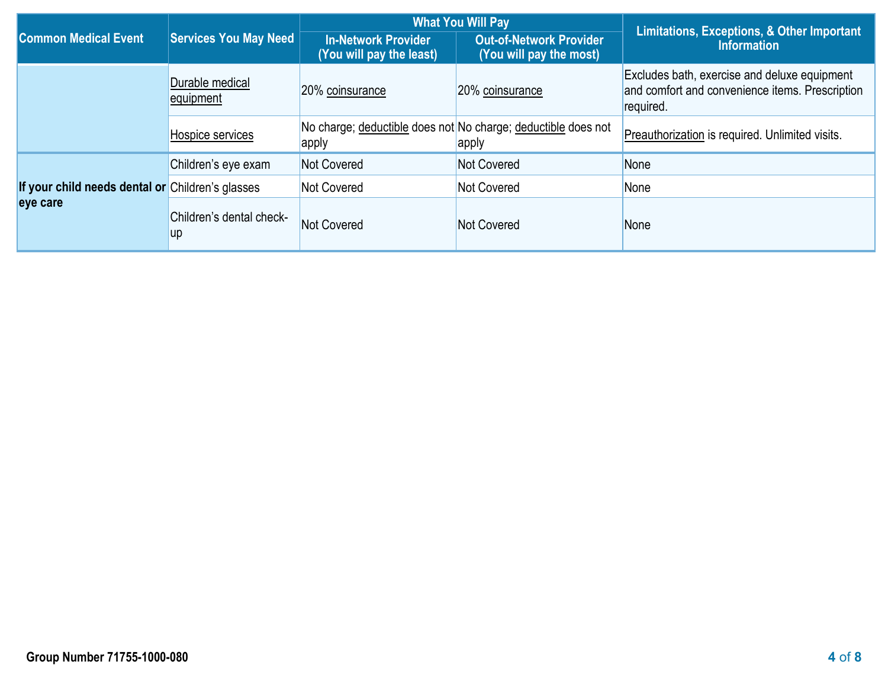|                                                  | Services You May Need                 |                                                        | <b>What You Will Pay</b>                                               | Limitations, Exceptions, & Other Important                                                                   |  |
|--------------------------------------------------|---------------------------------------|--------------------------------------------------------|------------------------------------------------------------------------|--------------------------------------------------------------------------------------------------------------|--|
| <b>Common Medical Event</b>                      |                                       | <b>In-Network Provider</b><br>(You will pay the least) | <b>Out-of-Network Provider</b><br>(You will pay the most)              | <b>Information</b>                                                                                           |  |
|                                                  | Durable medical<br>equipment          | 20% coinsurance                                        | 20% coinsurance                                                        | Excludes bath, exercise and deluxe equipment<br>and comfort and convenience items. Prescription<br>required. |  |
|                                                  | Hospice services                      | apply                                                  | No charge; deductible does not No charge; deductible does not<br>apply | Preauthorization is required. Unlimited visits.                                                              |  |
|                                                  | Children's eye exam                   | Not Covered                                            | Not Covered                                                            | None                                                                                                         |  |
| If your child needs dental or Children's glasses |                                       | <b>Not Covered</b>                                     | Not Covered                                                            | None                                                                                                         |  |
| eye care                                         | Children's dental check-<br><b>up</b> | Not Covered                                            | Not Covered                                                            | None                                                                                                         |  |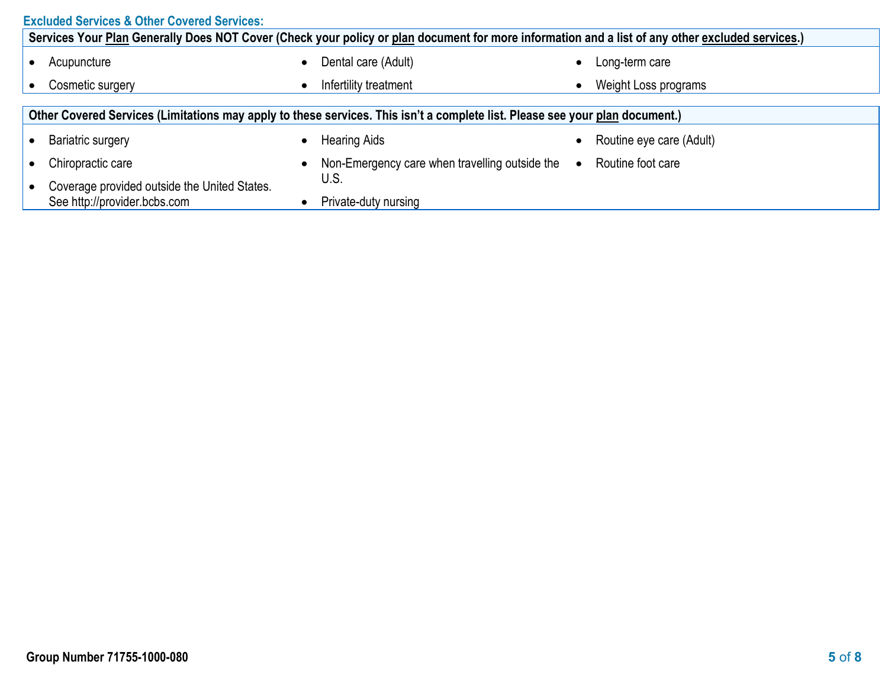|           | <b>Excluded Services &amp; Other Covered Services:</b>                                                                                           |  |                                                |           |                          |  |  |
|-----------|--------------------------------------------------------------------------------------------------------------------------------------------------|--|------------------------------------------------|-----------|--------------------------|--|--|
|           | Services Your Plan Generally Does NOT Cover (Check your policy or plan document for more information and a list of any other excluded services.) |  |                                                |           |                          |  |  |
|           | Acupuncture                                                                                                                                      |  | Dental care (Adult)                            |           | Long-term care           |  |  |
| $\bullet$ | Cosmetic surgery                                                                                                                                 |  | Infertility treatment                          |           | Weight Loss programs     |  |  |
|           |                                                                                                                                                  |  |                                                |           |                          |  |  |
|           | Other Covered Services (Limitations may apply to these services. This isn't a complete list. Please see your plan document.)                     |  |                                                |           |                          |  |  |
|           | <b>Bariatric surgery</b>                                                                                                                         |  | <b>Hearing Aids</b>                            |           | Routine eye care (Adult) |  |  |
|           | Chiropractic care                                                                                                                                |  | Non-Emergency care when travelling outside the | $\bullet$ | Routine foot care        |  |  |
|           | Coverage provided outside the United States.<br>See http://provider.bcbs.com                                                                     |  | U.S.<br>Private-duty nursing                   |           |                          |  |  |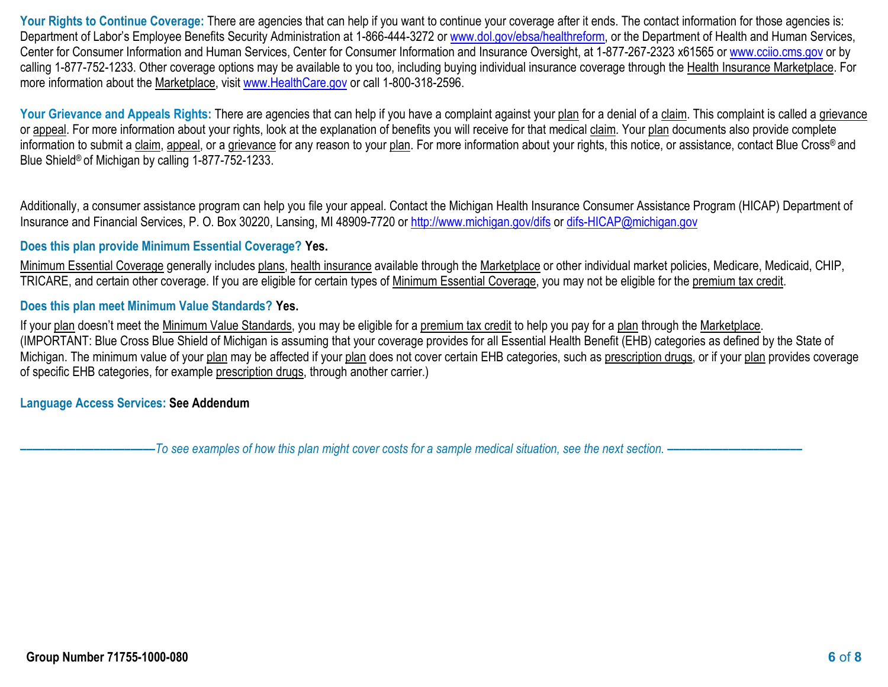Your Rights to Continue Coverage: There are agencies that can help if you want to continue your coverage after it ends. The contact information for those agencies is: Department of Labor's Employee Benefits Security Administration at 1-866-444-3272 or [www.dol.gov/ebsa/healthreform,](http://www.dol.gov/ebsa/healthreform) or the Department of Health and Human Services, Center for Consumer Information and Human Services, Center for Consumer Information and Insurance Oversight, at 1-877-267-2323 x61565 or [www.cciio.cms.gov](http://www.cciio.cms.gov/) or by calling 1-877-752-1233. Other coverage options may be available to you too, including buying individual insurance coverage through the Health Insurance Marketplace. For more information about the Marketplace, visit [www.HealthCare.gov](http://www.healthcare.gov/) or call 1-800-318-2596.

Your Grievance and Appeals Rights: There are agencies that can help if you have a complaint against your plan for a denial of a claim. This complaint is called a grievance or appeal. For more information about your rights, look at the explanation of benefits you will receive for that medical claim. Your plan documents also provide complete information to submit a claim, appeal, or a grievance for any reason to your plan. For more information about your rights, this notice, or assistance, contact Blue Cross® and Blue Shield® of Michigan by calling 1-877-752-1233.

Additionally, a consumer assistance program can help you file your appeal. Contact the Michigan Health Insurance Consumer Assistance Program (HICAP) Department of Insurance and Financial Services, P. O. Box 30220, Lansing, MI 48909-7720 or<http://www.michigan.gov/difs> or [difs-HICAP@michigan.gov](mailto:difs-HICAP@michigan.gov)

# **Does this plan provide Minimum Essential Coverage? Yes.**

Minimum Essential Coverage generally includes plans, health insurance available through the Marketplace or other individual market policies, Medicare, Medicaid, CHIP, TRICARE, and certain other coverage. If you are eligible for certain types of Minimum Essential Coverage, you may not be eligible for the premium tax credit.

### **Does this plan meet Minimum Value Standards? Yes.**

If your plan doesn't meet the Minimum Value Standards, you may be eligible for a premium tax credit to help you pay for a plan through the Marketplace. (IMPORTANT: Blue Cross Blue Shield of Michigan is assuming that your coverage provides for all Essential Health Benefit (EHB) categories as defined by the State of Michigan. The minimum value of your plan may be affected if your plan does not cover certain EHB categories, such as prescription drugs, or if your plan provides coverage of specific EHB categories, for example prescription drugs, through another carrier.)

# **Language Access Services: See Addendum**

**––––––––––––––––––––––***To see examples of how this plan might cover costs for a sample medical situation, see the next section. –––––––––––***–––––––––––**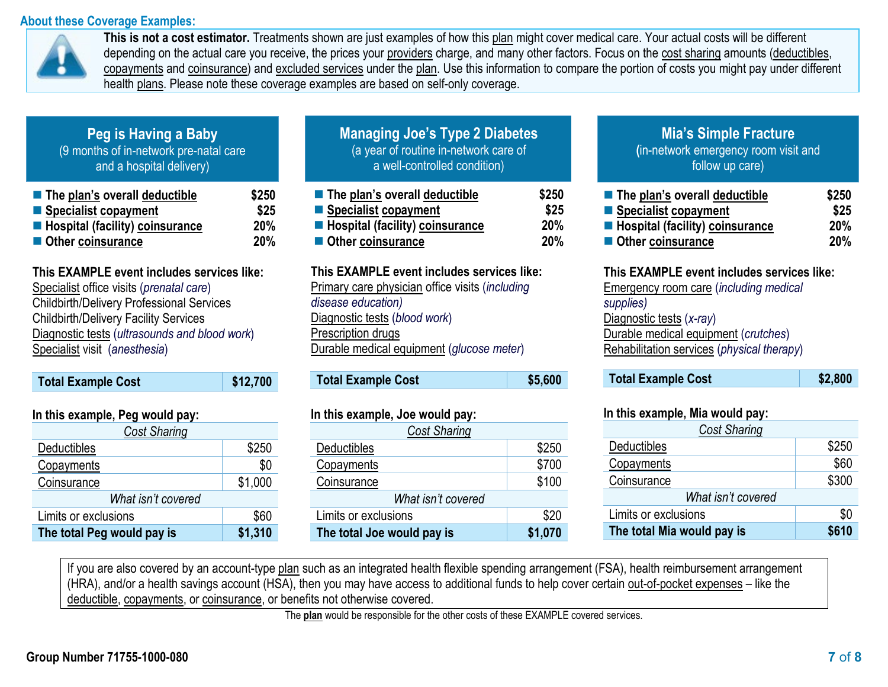# **About these Coverage Examples:**



**This is not a cost estimator.** Treatments shown are just examples of how this plan might cover medical care. Your actual costs will be different depending on the actual care you receive, the prices your providers charge, and many other factors. Focus on the cost sharing amounts (deductibles, copayments and coinsurance) and excluded services under the plan. Use this information to compare the portion of costs you might pay under different health plans. Please note these coverage examples are based on self-only coverage.

| Peg is Having a Baby'                  |
|----------------------------------------|
| (9 months of in-network pre-natal care |
| and a hospital delivery)               |

| $\blacksquare$ The plan's overall deductible | \$250      |
|----------------------------------------------|------------|
| Specialist copayment                         | \$25       |
| Hospital (facility) coinsurance              | <b>20%</b> |
| Other coinsurance                            | <b>20%</b> |

# **This EXAMPLE event includes services like:**

 Specialist office visits (*prenatal care*) Childbirth/Delivery Professional Services Childbirth/Delivery Facility Services Diagnostic tests (*ultrasounds and blood work*) Specialist visit (*anesthesia*)

| <b>Total Example Cost</b>       | \$12,700 |
|---------------------------------|----------|
|                                 |          |
| In this example, Peg would pay: |          |

| <b>Cost Sharing</b>        |         |  |  |
|----------------------------|---------|--|--|
| Deductibles                | \$250   |  |  |
| Copayments                 | \$0     |  |  |
| Coinsurance                | \$1,000 |  |  |
| What isn't covered         |         |  |  |
| Limits or exclusions       | \$60    |  |  |
| The total Peg would pay is | \$1,310 |  |  |

| <b>Managing Joe's Type 2 Diabetes</b><br>(a year of routine in-network care of<br>a well-controlled condition) |  |
|----------------------------------------------------------------------------------------------------------------|--|
| والمائهون لممام المعمريم والعمامر وما                                                                          |  |

| $\blacksquare$ The plan's overall deductible | \$250      |
|----------------------------------------------|------------|
| ■ Specialist copayment                       | \$25       |
| <b>E</b> Hospital (facility) coinsurance     | <b>20%</b> |
| Other coinsurance                            | <b>20%</b> |

#### **This EXAMPLE event includes services like:**

Primary care physician office visits (*including disease education)* Diagnostic tests (*blood work*) Prescription drugs Durable medical equipment (*glucose meter*)

| <b>Total Example Cost</b> | \$5,600 |
|---------------------------|---------|
|---------------------------|---------|

# **In this example, Joe would pay:**

| <b>Cost Sharing</b>        |         |  |
|----------------------------|---------|--|
| Deductibles                | \$250   |  |
| Copayments                 | \$700   |  |
| Coinsurance                | \$100   |  |
| What isn't covered         |         |  |
| Limits or exclusions       | \$20    |  |
| The total Joe would pay is | \$1,070 |  |

# **Mia's Simple Fracture**

**(**in-network emergency room visit and follow up care)

| The plan's overall deductible   | \$250      |
|---------------------------------|------------|
| ■ Specialist copayment          | \$25       |
| Hospital (facility) coinsurance | <b>20%</b> |
| Other coinsurance               | 20%        |

# **This EXAMPLE event includes services like:**

Emergency room care (*including medical supplies)* Diagnostic tests (*x-ray*) Durable medical equipment (*crutches*) Rehabilitation services (*physical therapy*)

#### **In this example, Mia would pay:**

| <b>Cost Sharing</b>        |       |  |
|----------------------------|-------|--|
| Deductibles                | \$250 |  |
| Copayments                 | \$60  |  |
| Coinsurance                | \$300 |  |
| What isn't covered         |       |  |
| Limits or exclusions       | \$0   |  |
| The total Mia would pay is | \$610 |  |

If you are also covered by an account-type plan such as an integrated health flexible spending arrangement (FSA), health reimbursement arrangement (HRA), and/or a health savings account (HSA), then you may have access to additional funds to help cover certain out-of-pocket expenses – like the deductible, copayments, or coinsurance, or benefits not otherwise covered.

The **plan** would be responsible for the other costs of these EXAMPLE covered services.